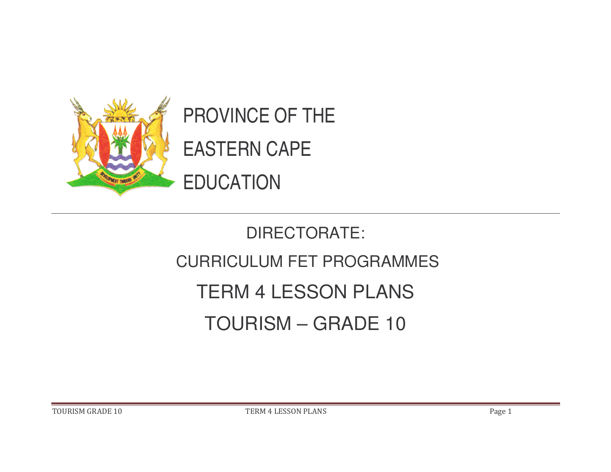

PROVINCE OF THE EASTERN CAPE EDUCATION

## DIRECTORATE: CURRICULUM FET PROGRAMMES TERM 4 LESSON PLANS TOURISM – GRADE 10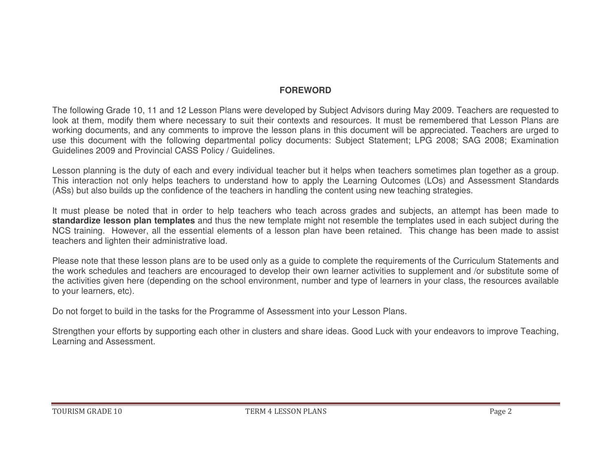## **FOREWORD**

The following Grade 10, 11 and 12 Lesson Plans were developed by Subject Advisors during May 2009. Teachers are requested to look at them, modify them where necessary to suit their contexts and resources. It must be remembered that Lesson Plans are working documents, and any comments to improve the lesson plans in this document will be appreciated. Teachers are urged to use this document with the following departmental policy documents: Subject Statement; LPG 2008; SAG 2008; Examination Guidelines 2009 and Provincial CASS Policy / Guidelines.

Lesson planning is the duty of each and every individual teacher but it helps when teachers sometimes plan together as <sup>a</sup> group. This interaction not only helps teachers to understand how to apply the Learning Outcomes (LOs) and Assessment Standards (ASs) but also builds up the confidence of the teachers in handling the content using new teaching strategies.

It must please be noted that in order to help teachers who teach across grades and subjects, an attempt has been made to **standardize lesson plan templates** and thus the new template might not resemble the templates used in each subject during the NCS training. However, all the essential elements of <sup>a</sup> lesson plan have been retained. This change has been made to assist teachers and lighten their administrative load.

Please note that these lesson plans are to be used only as <sup>a</sup> guide to complete the requirements of the Curriculum Statements and the work schedules and teachers are encouraged to develop their own learner activities to supplement and /or substitute some of the activities given here (depending on the school environment, number and type of learners in your class, the resources available to your learners, etc).

Do not forget to build in the tasks for the Programme of Assessment into your Lesson Plans.

Strengthen your efforts by supporting each other in clusters and share ideas. Good Luck with your endeavors to improve Teaching, Learning and Assessment.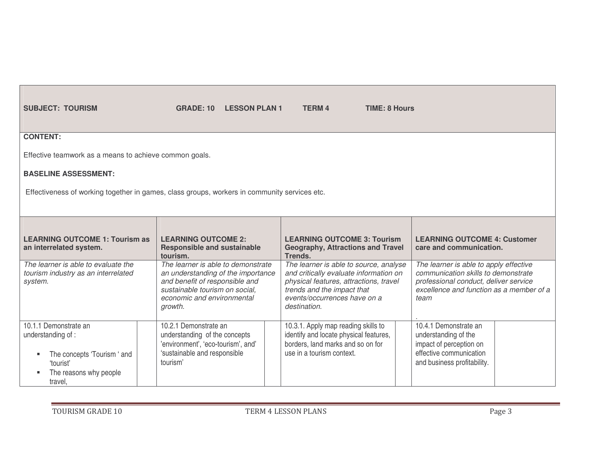| <b>SUBJECT: TOURISM</b>                                                                                                      | <b>GRADE: 10</b><br><b>LESSON PLAN1</b>                                                                                                                                               | <b>TERM4</b><br><b>TIME: 8 Hours</b>                                                                                                                                                                     |                                                                                                                                                                            |  |  |
|------------------------------------------------------------------------------------------------------------------------------|---------------------------------------------------------------------------------------------------------------------------------------------------------------------------------------|----------------------------------------------------------------------------------------------------------------------------------------------------------------------------------------------------------|----------------------------------------------------------------------------------------------------------------------------------------------------------------------------|--|--|
| <b>CONTENT:</b>                                                                                                              |                                                                                                                                                                                       |                                                                                                                                                                                                          |                                                                                                                                                                            |  |  |
| Effective teamwork as a means to achieve common goals.                                                                       |                                                                                                                                                                                       |                                                                                                                                                                                                          |                                                                                                                                                                            |  |  |
| <b>BASELINE ASSESSMENT:</b>                                                                                                  |                                                                                                                                                                                       |                                                                                                                                                                                                          |                                                                                                                                                                            |  |  |
| Effectiveness of working together in games, class groups, workers in community services etc.                                 |                                                                                                                                                                                       |                                                                                                                                                                                                          |                                                                                                                                                                            |  |  |
| <b>LEARNING OUTCOME 1: Tourism as</b><br>an interrelated system.                                                             | <b>LEARNING OUTCOME 2:</b><br><b>Responsible and sustainable</b><br>tourism.                                                                                                          | <b>LEARNING OUTCOME 3: Tourism</b><br><b>Geography, Attractions and Travel</b><br>Trends.                                                                                                                | <b>LEARNING OUTCOME 4: Customer</b><br>care and communication.                                                                                                             |  |  |
| The learner is able to evaluate the<br>tourism industry as an interrelated<br>system.                                        | The learner is able to demonstrate<br>an understanding of the importance<br>and benefit of responsible and<br>sustainable tourism on social.<br>economic and environmental<br>growth. | The learner is able to source, analyse<br>and critically evaluate information on<br>physical features, attractions, travel<br>trends and the impact that<br>events/occurrences have on a<br>destination. | The learner is able to apply effective<br>communication skills to demonstrate<br>professional conduct, deliver service<br>excellence and function as a member of a<br>team |  |  |
| 10.1.1 Demonstrate an<br>understanding of :<br>The concepts 'Tourism ' and<br>'tourist'<br>The reasons why people<br>travel. | 10.2.1 Demonstrate an<br>understanding of the concepts<br>'environment', 'eco-tourism', and'<br>'sustainable and responsible<br>tourism'                                              | 10.3.1. Apply map reading skills to<br>identify and locate physical features,<br>borders, land marks and so on for<br>use in a tourism context.                                                          | 10.4.1 Demonstrate an<br>understanding of the<br>impact of perception on<br>effective communication<br>and business profitability.                                         |  |  |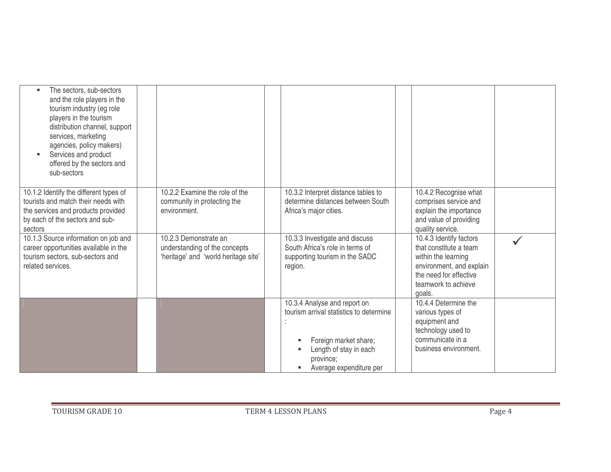| The sectors, sub-sectors<br>Ű.<br>and the role players in the<br>tourism industry (eg role<br>players in the tourism<br>distribution channel, support<br>services, marketing<br>agencies, policy makers)<br>Services and product<br>٠<br>offered by the sectors and<br>sub-sectors |                                                                                                |                                                                                                                                                                    |                                                                                                                                                                 |
|------------------------------------------------------------------------------------------------------------------------------------------------------------------------------------------------------------------------------------------------------------------------------------|------------------------------------------------------------------------------------------------|--------------------------------------------------------------------------------------------------------------------------------------------------------------------|-----------------------------------------------------------------------------------------------------------------------------------------------------------------|
| 10.1.2 Identify the different types of<br>tourists and match their needs with<br>the services and products provided<br>by each of the sectors and sub-<br>sectors                                                                                                                  | 10.2.2 Examine the role of the<br>community in protecting the<br>environment.                  | 10.3.2 Interpret distance tables to<br>determine distances between South<br>Africa's major cities.                                                                 | 10.4.2 Recognise what<br>comprises service and<br>explain the importance<br>and value of providing<br>quality service.                                          |
| 10.1.3 Source information on job and<br>career opportunities available in the<br>tourism sectors, sub-sectors and<br>related services.                                                                                                                                             | 10.2.3 Demonstrate an<br>understanding of the concepts<br>'heritage' and 'world heritage site' | 10.3.3 Investigate and discuss<br>South Africa's role in terms of<br>supporting tourism in the SADC<br>region.                                                     | 10.4.3 Identify factors<br>that constitute a team<br>within the learning<br>environment, and explain<br>the need for effective<br>teamwork to achieve<br>goals. |
|                                                                                                                                                                                                                                                                                    |                                                                                                | 10.3.4 Analyse and report on<br>tourism arrival statistics to determine<br>Foreign market share;<br>Length of stay in each<br>province;<br>Average expenditure per | 10.4.4 Determine the<br>various types of<br>equipment and<br>technology used to<br>communicate in a<br>business environment.                                    |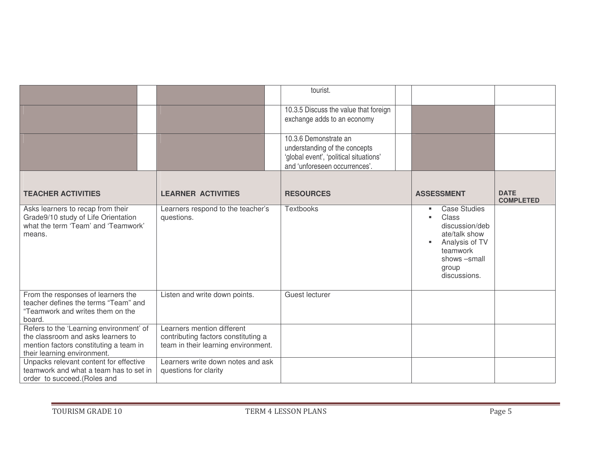|                                                                                                                                                        |                                                                                                          | tourist.                                                                                                                          |                                                                                                                                             |                                 |
|--------------------------------------------------------------------------------------------------------------------------------------------------------|----------------------------------------------------------------------------------------------------------|-----------------------------------------------------------------------------------------------------------------------------------|---------------------------------------------------------------------------------------------------------------------------------------------|---------------------------------|
|                                                                                                                                                        |                                                                                                          | 10.3.5 Discuss the value that foreign<br>exchange adds to an economy                                                              |                                                                                                                                             |                                 |
|                                                                                                                                                        |                                                                                                          | 10.3.6 Demonstrate an<br>understanding of the concepts<br>'global event', 'political situations'<br>and 'unforeseen occurrences'. |                                                                                                                                             |                                 |
| <b>TEACHER ACTIVITIES</b>                                                                                                                              | <b>LEARNER ACTIVITIES</b>                                                                                | <b>RESOURCES</b>                                                                                                                  | <b>ASSESSMENT</b>                                                                                                                           | <b>DATE</b><br><b>COMPLETED</b> |
| Asks learners to recap from their<br>Grade9/10 study of Life Orientation<br>what the term 'Team' and 'Teamwork'<br>means.                              | Learners respond to the teacher's<br>questions.                                                          | <b>Textbooks</b>                                                                                                                  | <b>Case Studies</b><br>Class<br>discussion/deb<br>ate/talk show<br>Analysis of TV<br>٠<br>teamwork<br>shows -small<br>group<br>discussions. |                                 |
| From the responses of learners the<br>teacher defines the terms "Team" and<br>"Teamwork and writes them on the<br>board.                               | Listen and write down points.                                                                            | Guest lecturer                                                                                                                    |                                                                                                                                             |                                 |
| Refers to the 'Learning environment' of<br>the classroom and asks learners to<br>mention factors constituting a team in<br>their learning environment. | Learners mention different<br>contributing factors constituting a<br>team in their learning environment. |                                                                                                                                   |                                                                                                                                             |                                 |
| Unpacks relevant content for effective<br>teamwork and what a team has to set in<br>order to succeed.(Roles and                                        | Learners write down notes and ask<br>questions for clarity                                               |                                                                                                                                   |                                                                                                                                             |                                 |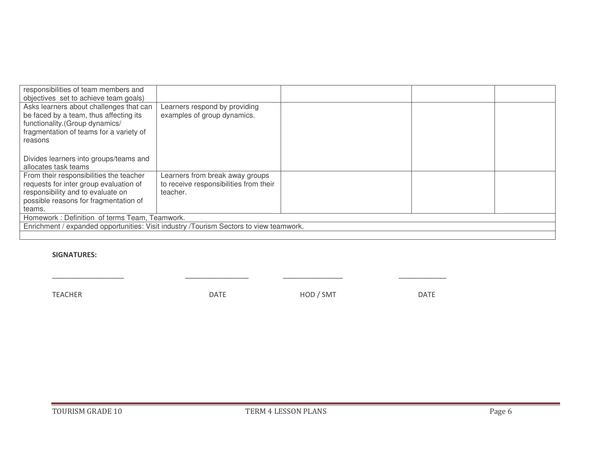| responsibilities of team members and                                                                                                                                      |                                                                                       |  |  |  |
|---------------------------------------------------------------------------------------------------------------------------------------------------------------------------|---------------------------------------------------------------------------------------|--|--|--|
| objectives set to achieve team goals)                                                                                                                                     |                                                                                       |  |  |  |
| Asks learners about challenges that can<br>be faced by a team, thus affecting its<br>functionality.(Group dynamics/<br>fragmentation of teams for a variety of<br>reasons | Learners respond by providing<br>examples of group dynamics.                          |  |  |  |
| Divides learners into groups/teams and<br>allocates task teams                                                                                                            |                                                                                       |  |  |  |
| From their responsibilities the teacher<br>requests for inter group evaluation of<br>responsibility and to evaluate on<br>possible reasons for fragmentation of<br>teams. | Learners from break away groups<br>to receive responsibilities from their<br>teacher. |  |  |  |
| Homework : Definition of terms Team, Teamwork.                                                                                                                            |                                                                                       |  |  |  |
| Enrichment / expanded opportunities: Visit industry /Tourism Sectors to view teamwork.                                                                                    |                                                                                       |  |  |  |
|                                                                                                                                                                           |                                                                                       |  |  |  |

SIGNATURES:

| <b>TEACHER</b> | <b>DATE</b> | HOD / SMT | <b>DATE</b> |
|----------------|-------------|-----------|-------------|
|                |             |           |             |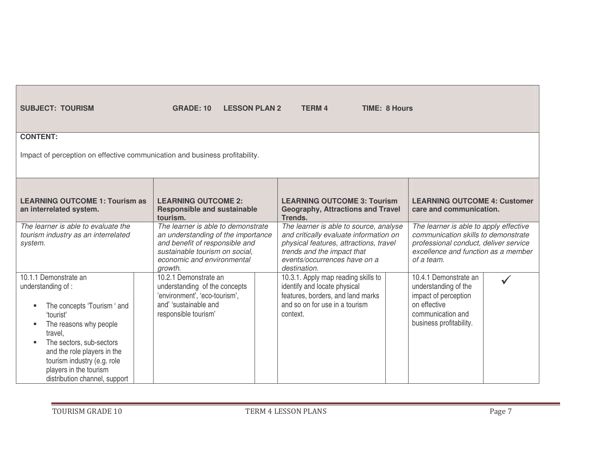| <b>SUBJECT: TOURISM</b>                                                                                                                                                                                                                                                           | <b>GRADE: 10</b><br><b>LESSON PLAN 2</b>                                                                                                                                              | <b>TERM4</b><br><b>TIME: 8 Hours</b>                                                                                                                                                                     |                                                                                                                                                                             |
|-----------------------------------------------------------------------------------------------------------------------------------------------------------------------------------------------------------------------------------------------------------------------------------|---------------------------------------------------------------------------------------------------------------------------------------------------------------------------------------|----------------------------------------------------------------------------------------------------------------------------------------------------------------------------------------------------------|-----------------------------------------------------------------------------------------------------------------------------------------------------------------------------|
| <b>CONTENT:</b>                                                                                                                                                                                                                                                                   |                                                                                                                                                                                       |                                                                                                                                                                                                          |                                                                                                                                                                             |
| Impact of perception on effective communication and business profitability.                                                                                                                                                                                                       |                                                                                                                                                                                       |                                                                                                                                                                                                          |                                                                                                                                                                             |
| <b>LEARNING OUTCOME 1: Tourism as</b><br>an interrelated system.                                                                                                                                                                                                                  | <b>LEARNING OUTCOME 2:</b><br><b>Responsible and sustainable</b><br>tourism.                                                                                                          | <b>LEARNING OUTCOME 3: Tourism</b><br><b>Geography, Attractions and Travel</b><br>Trends.                                                                                                                | <b>LEARNING OUTCOME 4: Customer</b><br>care and communication.                                                                                                              |
| The learner is able to evaluate the<br>tourism industry as an interrelated<br>system.                                                                                                                                                                                             | The learner is able to demonstrate<br>an understanding of the importance<br>and benefit of responsible and<br>sustainable tourism on social.<br>economic and environmental<br>growth. | The learner is able to source, analyse<br>and critically evaluate information on<br>physical features, attractions, travel<br>trends and the impact that<br>events/occurrences have on a<br>destination. | The learner is able to apply effective<br>communication skills to demonstrate<br>professional conduct, deliver service<br>excellence and function as a member<br>of a team. |
| 10.1.1 Demonstrate an<br>understanding of :<br>The concepts 'Tourism ' and<br>'tourist'<br>The reasons why people<br>travel,<br>The sectors, sub-sectors<br>and the role players in the<br>tourism industry (e.g. role<br>players in the tourism<br>distribution channel, support | 10.2.1 Demonstrate an<br>understanding of the concepts<br>'environment', 'eco-tourism',<br>and' 'sustainable and<br>responsible tourism'                                              | 10.3.1. Apply map reading skills to<br>identify and locate physical<br>features, borders, and land marks<br>and so on for use in a tourism<br>context.                                                   | 10.4.1 Demonstrate an<br>understanding of the<br>impact of perception<br>on effective<br>communication and<br>business profitability.                                       |

- Г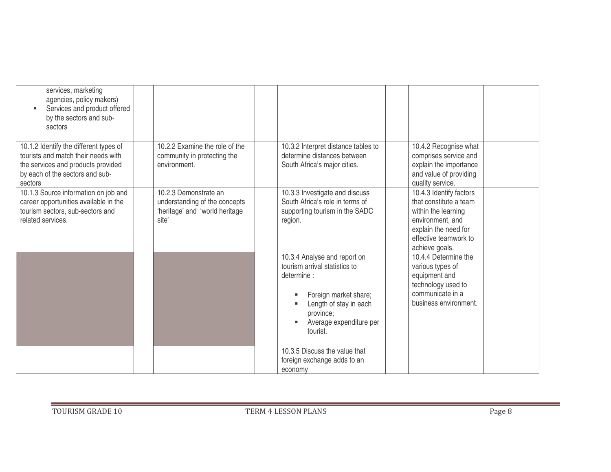| services, marketing<br>agencies, policy makers)<br>Services and product offered<br>by the sectors and sub-<br>sectors                                             |                                                                                                   |                                                                                                                                                                                     |                                                                                                                                                                 |
|-------------------------------------------------------------------------------------------------------------------------------------------------------------------|---------------------------------------------------------------------------------------------------|-------------------------------------------------------------------------------------------------------------------------------------------------------------------------------------|-----------------------------------------------------------------------------------------------------------------------------------------------------------------|
| 10.1.2 Identify the different types of<br>tourists and match their needs with<br>the services and products provided<br>by each of the sectors and sub-<br>sectors | 10.2.2 Examine the role of the<br>community in protecting the<br>environment.                     | 10.3.2 Interpret distance tables to<br>determine distances between<br>South Africa's major cities.                                                                                  | 10.4.2 Recognise what<br>comprises service and<br>explain the importance<br>and value of providing<br>quality service.                                          |
| 10.1.3 Source information on job and<br>career opportunities available in the<br>tourism sectors, sub-sectors and<br>related services.                            | 10.2.3 Demonstrate an<br>understanding of the concepts<br>'heritage' and 'world heritage<br>site' | 10.3.3 Investigate and discuss<br>South Africa's role in terms of<br>supporting tourism in the SADC<br>region.                                                                      | 10.4.3 Identify factors<br>that constitute a team<br>within the learning<br>environment, and<br>explain the need for<br>effective teamwork to<br>achieve goals. |
|                                                                                                                                                                   |                                                                                                   | 10.3.4 Analyse and report on<br>tourism arrival statistics to<br>determine :<br>Foreign market share;<br>Length of stay in each<br>province;<br>Average expenditure per<br>tourist. | 10.4.4 Determine the<br>various types of<br>equipment and<br>technology used to<br>communicate in a<br>business environment.                                    |
|                                                                                                                                                                   |                                                                                                   | 10.3.5 Discuss the value that<br>foreign exchange adds to an<br>economy                                                                                                             |                                                                                                                                                                 |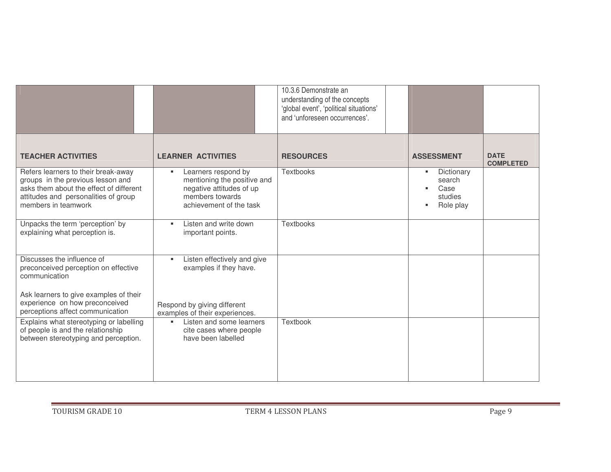|                                                                                                                                                                                                     |                                                                                                                                   | 10.3.6 Demonstrate an<br>understanding of the concepts<br>'global event', 'political situations'<br>and 'unforeseen occurrences'. |                                                                |                                 |
|-----------------------------------------------------------------------------------------------------------------------------------------------------------------------------------------------------|-----------------------------------------------------------------------------------------------------------------------------------|-----------------------------------------------------------------------------------------------------------------------------------|----------------------------------------------------------------|---------------------------------|
| <b>TEACHER ACTIVITIES</b>                                                                                                                                                                           | <b>LEARNER ACTIVITIES</b>                                                                                                         | <b>RESOURCES</b>                                                                                                                  | <b>ASSESSMENT</b>                                              | <b>DATE</b><br><b>COMPLETED</b> |
| Refers learners to their break-away<br>groups in the previous lesson and<br>asks them about the effect of different<br>attitudes and personalities of group<br>members in teamwork                  | Learners respond by<br>٠<br>mentioning the positive and<br>negative attitudes of up<br>members towards<br>achievement of the task | <b>Textbooks</b>                                                                                                                  | Dictionary<br>٠<br>search<br>Case<br>studies<br>Role play<br>п |                                 |
| Unpacks the term 'perception' by<br>explaining what perception is.                                                                                                                                  | Listen and write down<br>٠<br>important points.                                                                                   | <b>Textbooks</b>                                                                                                                  |                                                                |                                 |
| Discusses the influence of<br>preconceived perception on effective<br>communication<br>Ask learners to give examples of their<br>experience on how preconceived<br>perceptions affect communication | Listen effectively and give<br>ж.<br>examples if they have.<br>Respond by giving different<br>examples of their experiences.      |                                                                                                                                   |                                                                |                                 |
| Explains what stereotyping or labelling<br>of people is and the relationship<br>between stereotyping and perception.                                                                                | Listen and some learners<br>$\mathbf{u}$ .<br>cite cases where people<br>have been labelled                                       | Textbook                                                                                                                          |                                                                |                                 |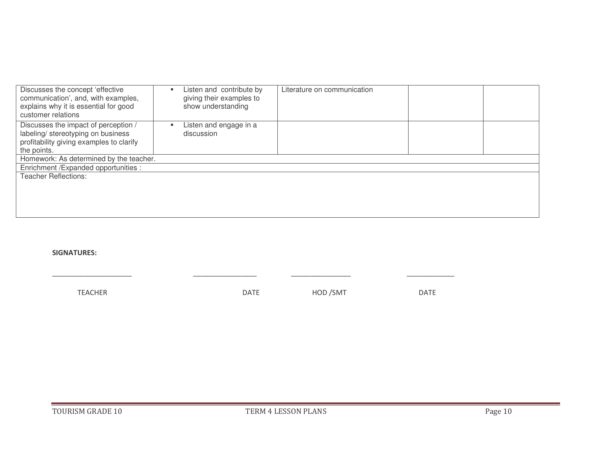| Discusses the concept 'effective<br>communication', and, with examples,<br>explains why it is essential for good<br>customer relations | Listen and contribute by<br>giving their examples to<br>show understanding | Literature on communication |  |
|----------------------------------------------------------------------------------------------------------------------------------------|----------------------------------------------------------------------------|-----------------------------|--|
| Discusses the impact of perception /                                                                                                   | Listen and engage in a                                                     |                             |  |
| labeling/ stereotyping on business                                                                                                     | discussion                                                                 |                             |  |
| profitability giving examples to clarify<br>the points.                                                                                |                                                                            |                             |  |
|                                                                                                                                        |                                                                            |                             |  |
| Homework: As determined by the teacher.                                                                                                |                                                                            |                             |  |
| Enrichment / Expanded opportunities :                                                                                                  |                                                                            |                             |  |
| <b>Teacher Reflections:</b>                                                                                                            |                                                                            |                             |  |
|                                                                                                                                        |                                                                            |                             |  |
|                                                                                                                                        |                                                                            |                             |  |
|                                                                                                                                        |                                                                            |                             |  |
|                                                                                                                                        |                                                                            |                             |  |

SIGNATURES:

TEACHER HOD /SMT DATE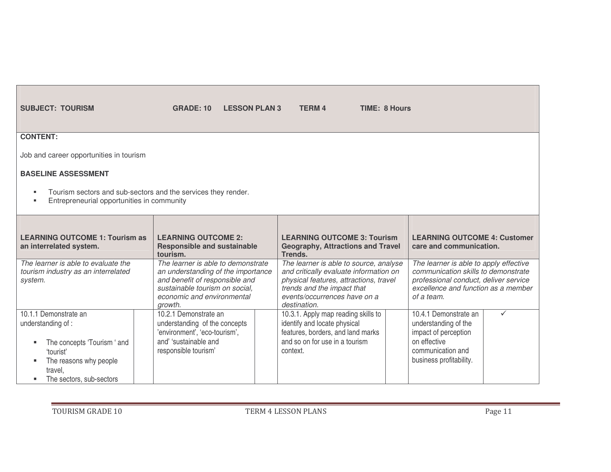| <b>SUBJECT: TOURISM</b>                                                                                                                                  | <b>GRADE: 10</b><br><b>LESSON PLAN 3</b>                                                                                                                                              | <b>TERM 4</b><br><b>TIME: 8 Hours</b>                                                                                                                                                                    |                                                                                                                                                                             |
|----------------------------------------------------------------------------------------------------------------------------------------------------------|---------------------------------------------------------------------------------------------------------------------------------------------------------------------------------------|----------------------------------------------------------------------------------------------------------------------------------------------------------------------------------------------------------|-----------------------------------------------------------------------------------------------------------------------------------------------------------------------------|
| <b>CONTENT:</b>                                                                                                                                          |                                                                                                                                                                                       |                                                                                                                                                                                                          |                                                                                                                                                                             |
| Job and career opportunities in tourism                                                                                                                  |                                                                                                                                                                                       |                                                                                                                                                                                                          |                                                                                                                                                                             |
| <b>BASELINE ASSESSMENT</b>                                                                                                                               |                                                                                                                                                                                       |                                                                                                                                                                                                          |                                                                                                                                                                             |
| Tourism sectors and sub-sectors and the services they render.<br>Entrepreneurial opportunities in community<br>×                                         |                                                                                                                                                                                       |                                                                                                                                                                                                          |                                                                                                                                                                             |
| <b>LEARNING OUTCOME 1: Tourism as</b><br>an interrelated system.                                                                                         | <b>LEARNING OUTCOME 2:</b><br><b>Responsible and sustainable</b><br>tourism.                                                                                                          | <b>LEARNING OUTCOME 3: Tourism</b><br><b>Geography, Attractions and Travel</b><br>Trends.                                                                                                                | <b>LEARNING OUTCOME 4: Customer</b><br>care and communication.                                                                                                              |
| The learner is able to evaluate the<br>tourism industry as an interrelated<br>system.                                                                    | The learner is able to demonstrate<br>an understanding of the importance<br>and benefit of responsible and<br>sustainable tourism on social.<br>economic and environmental<br>growth. | The learner is able to source, analyse<br>and critically evaluate information on<br>physical features, attractions, travel<br>trends and the impact that<br>events/occurrences have on a<br>destination. | The learner is able to apply effective<br>communication skills to demonstrate<br>professional conduct, deliver service<br>excellence and function as a member<br>of a team. |
| 10.1.1 Demonstrate an<br>understanding of :<br>The concepts 'Tourism ' and<br>'tourist'<br>The reasons why people<br>travel,<br>The sectors, sub-sectors | 10.2.1 Demonstrate an<br>understanding of the concepts<br>'environment', 'eco-tourism',<br>and' 'sustainable and<br>responsible tourism'                                              | 10.3.1. Apply map reading skills to<br>identify and locate physical<br>features, borders, and land marks<br>and so on for use in a tourism<br>context.                                                   | 10.4.1 Demonstrate an<br>$\checkmark$<br>understanding of the<br>impact of perception<br>on effective<br>communication and<br>business profitability.                       |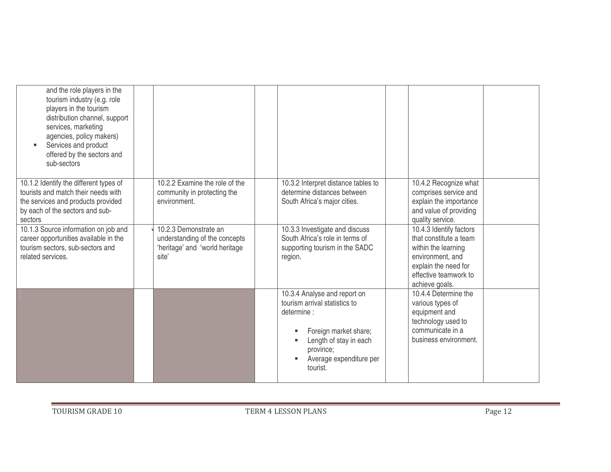| and the role players in the<br>tourism industry (e.g. role<br>players in the tourism<br>distribution channel, support<br>services, marketing<br>agencies, policy makers)<br>Services and product<br>offered by the sectors and<br>sub-sectors |                                                                                                        |                                                                                                                                                                                     |                                                                                                                                                   |  |
|-----------------------------------------------------------------------------------------------------------------------------------------------------------------------------------------------------------------------------------------------|--------------------------------------------------------------------------------------------------------|-------------------------------------------------------------------------------------------------------------------------------------------------------------------------------------|---------------------------------------------------------------------------------------------------------------------------------------------------|--|
| 10.1.2 Identify the different types of<br>tourists and match their needs with<br>the services and products provided<br>by each of the sectors and sub-<br>sectors<br>10.1.3 Source information on job and                                     | 10.2.2 Examine the role of the<br>community in protecting the<br>environment.<br>10.2.3 Demonstrate an | 10.3.2 Interpret distance tables to<br>determine distances between<br>South Africa's major cities.<br>10.3.3 Investigate and discuss                                                | 10.4.2 Recognize what<br>comprises service and<br>explain the importance<br>and value of providing<br>quality service.<br>10.4.3 Identify factors |  |
| career opportunities available in the<br>tourism sectors, sub-sectors and<br>related services.                                                                                                                                                | understanding of the concepts<br>'heritage' and 'world heritage<br>site'                               | South Africa's role in terms of<br>supporting tourism in the SADC<br>region.                                                                                                        | that constitute a team<br>within the learning<br>environment, and<br>explain the need for<br>effective teamwork to<br>achieve goals.              |  |
|                                                                                                                                                                                                                                               |                                                                                                        | 10.3.4 Analyse and report on<br>tourism arrival statistics to<br>determine :<br>Foreign market share;<br>Length of stay in each<br>province;<br>Average expenditure per<br>tourist. | 10.4.4 Determine the<br>various types of<br>equipment and<br>technology used to<br>communicate in a<br>business environment.                      |  |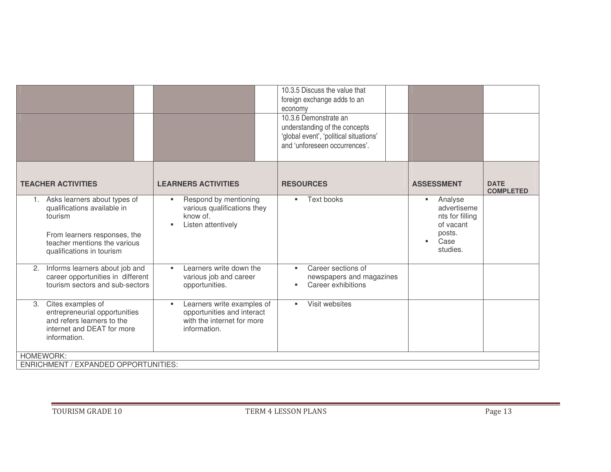|                                                                                                                                                                     |                                                                                                              | 10.3.5 Discuss the value that<br>foreign exchange adds to an<br>economy<br>10.3.6 Demonstrate an<br>understanding of the concepts<br>'global event', 'political situations'<br>and 'unforeseen occurrences'. |                                                                                                |                                 |
|---------------------------------------------------------------------------------------------------------------------------------------------------------------------|--------------------------------------------------------------------------------------------------------------|--------------------------------------------------------------------------------------------------------------------------------------------------------------------------------------------------------------|------------------------------------------------------------------------------------------------|---------------------------------|
| <b>TEACHER ACTIVITIES</b>                                                                                                                                           | <b>LEARNERS ACTIVITIES</b>                                                                                   | <b>RESOURCES</b>                                                                                                                                                                                             | <b>ASSESSMENT</b>                                                                              | <b>DATE</b><br><b>COMPLETED</b> |
| Asks learners about types of<br>qualifications available in<br>tourism<br>From learners responses, the<br>teacher mentions the various<br>qualifications in tourism | Respond by mentioning<br>٠<br>various qualifications they<br>know of<br>Listen attentively                   | Text books                                                                                                                                                                                                   | Analyse<br>٠<br>advertiseme<br>nts for filling<br>of vacant<br>posts.<br>Case<br>п<br>studies. |                                 |
| Informs learners about job and<br>2.<br>career opportunities in different<br>tourism sectors and sub-sectors                                                        | Learners write down the<br>٠<br>various job and career<br>opportunities.                                     | Career sections of<br>newspapers and magazines<br>Career exhibitions                                                                                                                                         |                                                                                                |                                 |
| Cites examples of<br>3.<br>entrepreneurial opportunities<br>and refers learners to the<br>internet and DEAT for more<br>information.                                | Learners write examples of<br>ж.<br>opportunities and interact<br>with the internet for more<br>information. | Visit websites<br>٠                                                                                                                                                                                          |                                                                                                |                                 |
| HOMEWORK:<br>ENRICHMENT / EXPANDED OPPORTUNITIES:                                                                                                                   |                                                                                                              |                                                                                                                                                                                                              |                                                                                                |                                 |